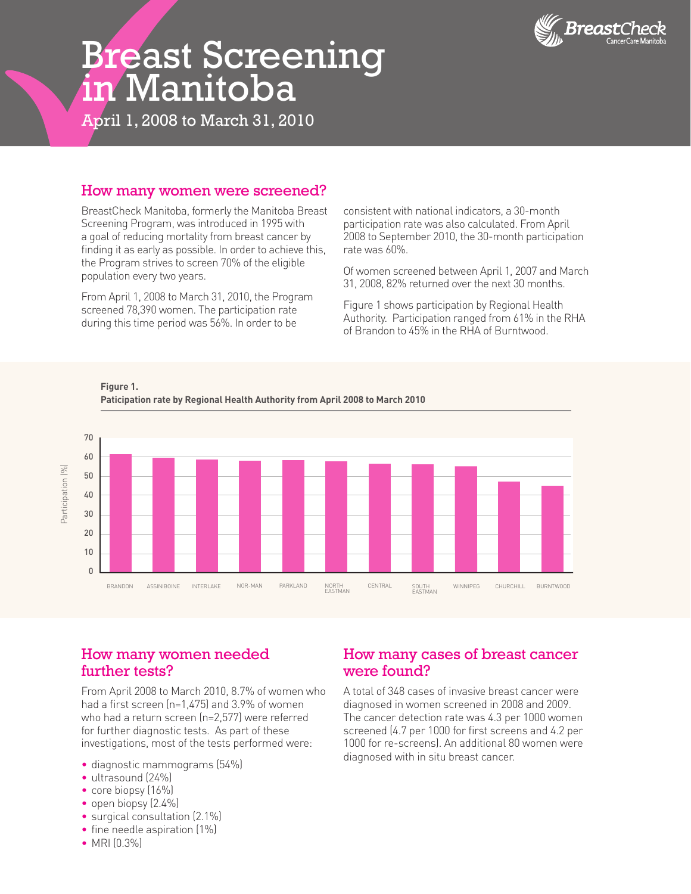

# Breast Screening in Manitoba

April 1, 2008 to March 31, 2010

#### How many women were screened?

BreastCheck Manitoba, formerly the Manitoba Breast Screening Program, was introduced in 1995 with a goal of reducing mortality from breast cancer by finding it as early as possible. In order to achieve this, the Program strives to screen 70% of the eligible population every two years.

From April 1, 2008 to March 31, 2010, the Program screened 78,390 women. The participation rate during this time period was 56%. In order to be

consistent with national indicators, a 30-month participation rate was also calculated. From April 2008 to September 2010, the 30-month participation rate was 60%.

Of women screened between April 1, 2007 and March 31, 2008, 82% returned over the next 30 months.

Figure 1 shows participation by Regional Health Authority. Participation ranged from 61% in the RHA of Brandon to 45% in the RHA of Burntwood.



**Figure 1. Paticipation rate by Regional Health Authority from April 2008 to March 2010**

#### How many women needed further tests?

From April 2008 to March 2010, 8.7% of women who had a first screen (n=1,475) and 3.9% of women who had a return screen (n=2,577) were referred for further diagnostic tests. As part of these investigations, most of the tests performed were:

- diagnostic mammograms (54%)
- ultrasound (24%)
- core biopsy (16%)
- open biopsy (2.4%)
- surgical consultation (2.1%)
- fine needle aspiration (1%)
- MRI (0.3%)

## How many cases of breast cancer were found?

A total of 348 cases of invasive breast cancer were diagnosed in women screened in 2008 and 2009. The cancer detection rate was 4.3 per 1000 women screened (4.7 per 1000 for first screens and 4.2 per 1000 for re-screens). An additional 80 women were diagnosed with in situ breast cancer.